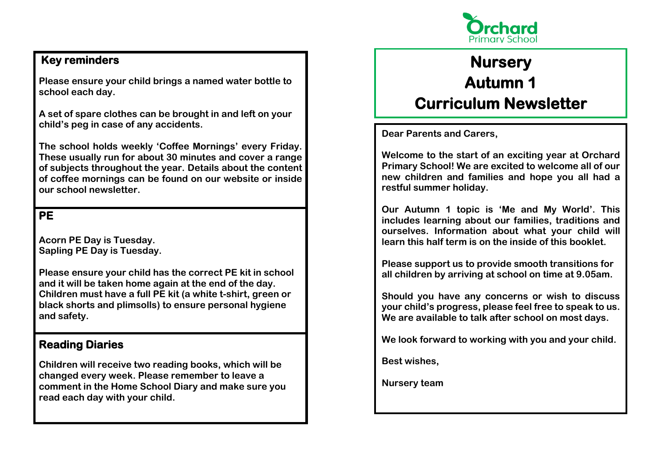

## **Key reminders**

**Please ensure your child brings a named water bottle to school each day.**

**A set of spare clothes can be brought in and left on your child's peg in case of any accidents.**

**The school holds weekly 'Coffee Mornings' every Friday. These usually run for about 30 minutes and cover a range of subjects throughout the year. Details about the content of coffee mornings can be found on our website or inside our school newsletter.**

### **PE**

**Acorn PE Day is Tuesday. Sapling PE Day is Tuesday.**

**Please ensure your child has the correct PE kit in school and it will be taken home again at the end of the day. Children must have a full PE kit (a white t-shirt, green or black shorts and plimsolls) to ensure personal hygiene and safety.**

## **Reading Diaries**

**Children will receive two reading books, which will be changed every week. Please remember to leave a comment in the Home School Diary and make sure you read each day with your child.**

# **Nursery Autumn 1 Curriculum Newsletter**

**Dear Parents and Carers,**

**Welcome to the start of an exciting year at Orchard Primary School! We are excited to welcome all of our new children and families and hope you all had a restful summer holiday.**

**Our Autumn 1 topic is 'Me and My World'. This includes learning about our families, traditions and ourselves. Information about what your child will learn this half term is on the inside of this booklet.**

**Please support us to provide smooth transitions for all children by arriving at school on time at 9.05am.** 

**Should you have any concerns or wish to discuss your child's progress, please feel free to speak to us. We are available to talk after school on most days.** 

**We look forward to working with you and your child.**

**Best wishes,** 

**Nursery team**